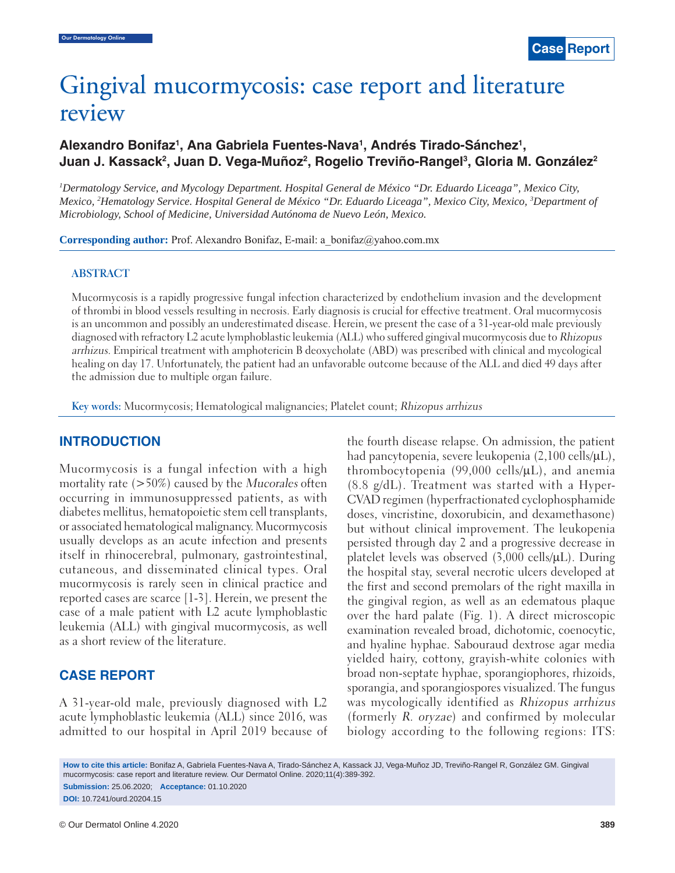# Gingival mucormycosis: case report and literature review

## Alexandro Bonifaz<sup>1</sup>, Ana Gabriela Fuentes-Nava<sup>1</sup>, Andrés Tirado-Sánchez<sup>1</sup>, Juan J. Kassack<sup>2</sup>, Juan D. Vega-Muñoz<sup>2</sup>, Rogelio Treviño-Rangel<sup>3</sup>, Gloria M. González<sup>2</sup>

<sup>1</sup> Dermatology Service, and Mycology Department. Hospital General de México "Dr. Eduardo Liceaga", Mexico City, *Mexico, 2 Hematology Service. Hospital General de México "Dr. Eduardo Liceaga", Mexico City, Mexico, 3 Department of Microbiology, School of Medicine, Universidad Autónoma de Nuevo León, Mexico.*

**Corresponding author:** Prof. Alexandro Bonifaz, E-mail: a\_bonifaz@yahoo.com.mx

#### **ABSTRACT**

Mucormycosis is a rapidly progressive fungal infection characterized by endothelium invasion and the development of thrombi in blood vessels resulting in necrosis. Early diagnosis is crucial for effective treatment. Oral mucormycosis is an uncommon and possibly an underestimated disease. Herein, we present the case of a 31-year-old male previously diagnosed with refractory L2 acute lymphoblastic leukemia (ALL) who suffered gingival mucormycosis due to Rhizopus arrhizus. Empirical treatment with amphotericin B deoxycholate (ABD) was prescribed with clinical and mycological healing on day 17. Unfortunately, the patient had an unfavorable outcome because of the ALL and died 49 days after the admission due to multiple organ failure.

**Key words:** Mucormycosis; Hematological malignancies; Platelet count; Rhizopus arrhizus

## **INTRODUCTION**

Mucormycosis is a fungal infection with a high mortality rate  $(>50\%)$  caused by the Mucorales often occurring in immunosuppressed patients, as with diabetes mellitus, hematopoietic stem cell transplants, or associated hematological malignancy. Mucormycosis usually develops as an acute infection and presents itself in rhinocerebral, pulmonary, gastrointestinal, cutaneous, and disseminated clinical types. Oral mucormycosis is rarely seen in clinical practice and reported cases are scarce [1-3]. Herein, we present the case of a male patient with L2 acute lymphoblastic leukemia (ALL) with gingival mucormycosis, as well as a short review of the literature.

## **CASE REPORT**

A 31-year-old male, previously diagnosed with L2 acute lymphoblastic leukemia (ALL) since 2016, was admitted to our hospital in April 2019 because of the fourth disease relapse. On admission, the patient had pancytopenia, severe leukopenia (2,100 cells/μL), thrombocytopenia (99,000 cells/μL), and anemia (8.8 g/dL). Treatment was started with a Hyper-CVAD regimen (hyperfractionated cyclophosphamide doses, vincristine, doxorubicin, and dexamethasone) but without clinical improvement. The leukopenia persisted through day 2 and a progressive decrease in platelet levels was observed (3,000 cells/μL). During the hospital stay, several necrotic ulcers developed at the first and second premolars of the right maxilla in the gingival region, as well as an edematous plaque over the hard palate (Fig. 1). A direct microscopic examination revealed broad, dichotomic, coenocytic, and hyaline hyphae. Sabouraud dextrose agar media yielded hairy, cottony, grayish-white colonies with broad non-septate hyphae, sporangiophores, rhizoids, sporangia, and sporangiospores visualized. The fungus was mycologically identified as Rhizopus arrhizus (formerly R. oryzae) and confirmed by molecular biology according to the following regions: ITS:

**How to cite this article:** Bonifaz A, Gabriela Fuentes-Nava A, Tirado-Sánchez A, Kassack JJ, Vega-Muñoz JD, Treviño-Rangel R, González GM. Gingival mucormycosis: case report and literature review. Our Dermatol Online. 2020;11(4):389-392.

**Submission:** 25.06.2020; **Acceptance:** 01.10.2020 **DOI:** 10.7241/ourd.20204.15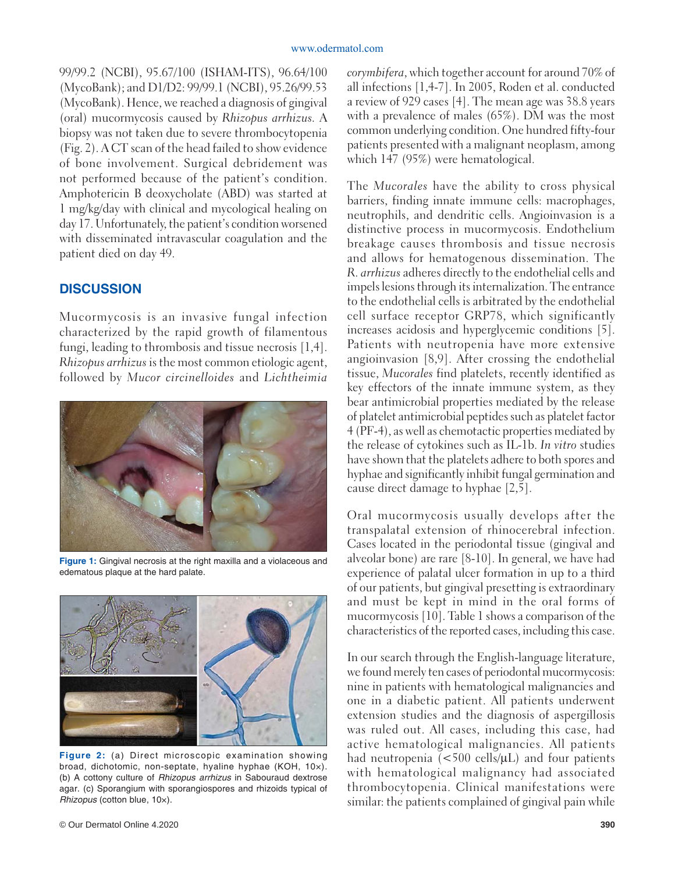99/99.2 (NCBI), 95.67/100 (ISHAM-ITS), 96.64/100 (MycoBank); and D1/D2: 99/99.1 (NCBI), 95.26/99.53 (MycoBank). Hence, we reached a diagnosis of gingival (oral) mucormycosis caused by *Rhizopus arrhizus.* A biopsy was not taken due to severe thrombocytopenia (Fig. 2). A CT scan of the head failed to show evidence of bone involvement. Surgical debridement was not performed because of the patient's condition. Amphotericin B deoxycholate (ABD) was started at 1 mg/kg/day with clinical and mycological healing on day 17. Unfortunately, the patient's condition worsened with disseminated intravascular coagulation and the patient died on day 49.

#### **DISCUSSION**

Mucormycosis is an invasive fungal infection characterized by the rapid growth of filamentous fungi, leading to thrombosis and tissue necrosis [1,4]. *Rhizopus arrhizus* is the most common etiologic agent, followed by *Mucor circinelloides* and *Lichtheimia* 



**Figure 1:** Gingival necrosis at the right maxilla and a violaceous and edematous plaque at the hard palate.



**Figure 2:** (a) Direct microscopic examination showing broad, dichotomic, non-septate, hyaline hyphae (KOH, 10×). (b) A cottony culture of *Rhizopus arrhizus* in Sabouraud dextrose agar. (c) Sporangium with sporangiospores and rhizoids typical of *Rhizopus* (cotton blue, 10×).

*corymbifera*, which together account for around 70% of all infections [1,4-7]. In 2005, Roden et al. conducted a review of 929 cases [4]. The mean age was 38.8 years with a prevalence of males (65%). DM was the most common underlying condition. One hundred fifty-four patients presented with a malignant neoplasm, among which 147 (95%) were hematological.

The *Mucorales* have the ability to cross physical barriers, finding innate immune cells: macrophages, neutrophils, and dendritic cells. Angioinvasion is a distinctive process in mucormycosis. Endothelium breakage causes thrombosis and tissue necrosis and allows for hematogenous dissemination. The *R. arrhizus* adheres directly to the endothelial cells and impels lesions through its internalization. The entrance to the endothelial cells is arbitrated by the endothelial cell surface receptor GRP78, which significantly increases acidosis and hyperglycemic conditions [5]. Patients with neutropenia have more extensive angioinvasion [8,9]. After crossing the endothelial tissue, *Mucorales* find platelets, recently identified as key effectors of the innate immune system, as they bear antimicrobial properties mediated by the release of platelet antimicrobial peptides such as platelet factor 4 (PF-4), as well as chemotactic properties mediated by the release of cytokines such as IL-1b. *In vitro* studies have shown that the platelets adhere to both spores and hyphae and significantly inhibit fungal germination and cause direct damage to hyphae [2,5].

Oral mucormycosis usually develops after the transpalatal extension of rhinocerebral infection. Cases located in the periodontal tissue (gingival and alveolar bone) are rare [8-10]. In general, we have had experience of palatal ulcer formation in up to a third of our patients, but gingival presetting is extraordinary and must be kept in mind in the oral forms of mucormycosis [10]. Table 1 shows a comparison of the characteristics of the reported cases, including this case.

In our search through the English-language literature, we found merely ten cases of periodontal mucormycosis: nine in patients with hematological malignancies and one in a diabetic patient. All patients underwent extension studies and the diagnosis of aspergillosis was ruled out. All cases, including this case, had active hematological malignancies. All patients had neutropenia (<500 cells/μL) and four patients with hematological malignancy had associated thrombocytopenia. Clinical manifestations were similar: the patients complained of gingival pain while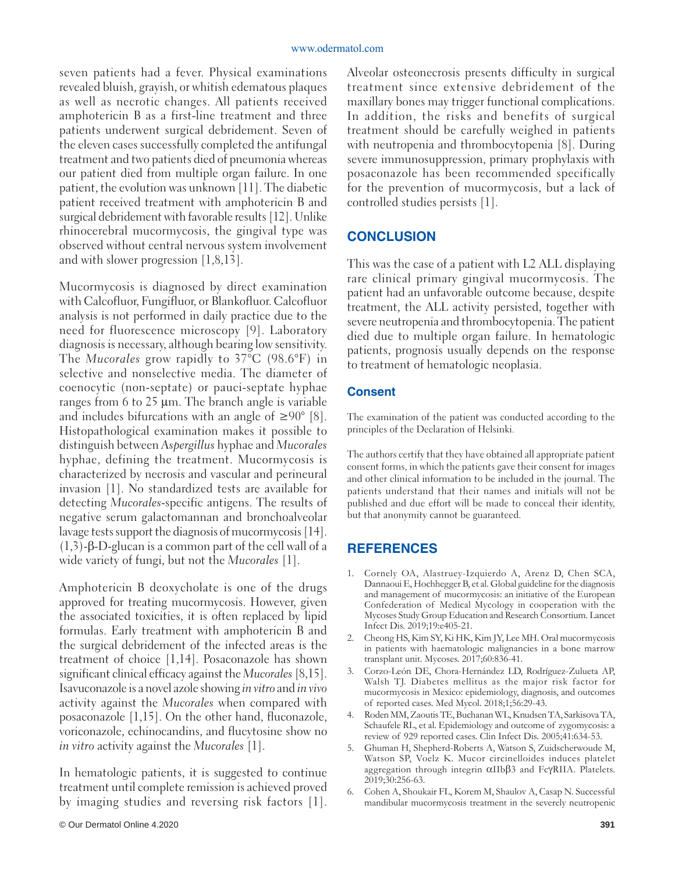seven patients had a fever. Physical examinations revealed bluish, grayish, or whitish edematous plaques as well as necrotic changes. All patients received amphotericin B as a first-line treatment and three patients underwent surgical debridement. Seven of the eleven cases successfully completed the antifungal treatment and two patients died of pneumonia whereas our patient died from multiple organ failure. In one patient, the evolution was unknown [11]. The diabetic patient received treatment with amphotericin B and surgical debridement with favorable results [12]. Unlike rhinocerebral mucormycosis, the gingival type was observed without central nervous system involvement and with slower progression [1,8,13].

Mucormycosis is diagnosed by direct examination with Calcofluor, Fungifluor, or Blankofluor. Calcofluor analysis is not performed in daily practice due to the need for fluorescence microscopy [9]. Laboratory diagnosis is necessary, although bearing low sensitivity. The *Mucorales* grow rapidly to 37°C (98.6°F) in selective and nonselective media. The diameter of coenocytic (non-septate) or pauci-septate hyphae ranges from 6 to 25 μm. The branch angle is variable and includes bifurcations with an angle of  $\geq 90^{\circ}$  [8]. Histopathological examination makes it possible to distinguish between *Aspergillus* hyphae and *Mucorales* hyphae, defining the treatment. Mucormycosis is characterized by necrosis and vascular and perineural invasion [1]. No standardized tests are available for detecting *Mucorales*-specific antigens. The results of negative serum galactomannan and bronchoalveolar lavage tests support the diagnosis of mucormycosis [14]. (1,3)-β-D-glucan is a common part of the cell wall of a wide variety of fungi, but not the *Mucorales* [1].

Amphotericin B deoxycholate is one of the drugs approved for treating mucormycosis. However, given the associated toxicities, it is often replaced by lipid formulas. Early treatment with amphotericin B and the surgical debridement of the infected areas is the treatment of choice [1,14]. Posaconazole has shown significant clinical efficacy against the *Mucorales* [8,15]. Isavuconazole is a novel azole showing *in vitro* and *in vivo*  activity against the *Mucorales* when compared with posaconazole [1,15]. On the other hand, fluconazole, voriconazole, echinocandins, and flucytosine show no *in vitro* activity against the *Mucorales* [1].

In hematologic patients, it is suggested to continue treatment until complete remission is achieved proved by imaging studies and reversing risk factors [1]. Alveolar osteonecrosis presents difficulty in surgical treatment since extensive debridement of the maxillary bones may trigger functional complications. In addition, the risks and benefits of surgical treatment should be carefully weighed in patients with neutropenia and thrombocytopenia [8]. During severe immunosuppression, primary prophylaxis with posaconazole has been recommended specifically for the prevention of mucormycosis, but a lack of controlled studies persists [1].

## **CONCLUSION**

This was the case of a patient with L2 ALL displaying rare clinical primary gingival mucormycosis. The patient had an unfavorable outcome because, despite treatment, the ALL activity persisted, together with severe neutropenia and thrombocytopenia. The patient died due to multiple organ failure. In hematologic patients, prognosis usually depends on the response to treatment of hematologic neoplasia.

#### **Consent**

The examination of the patient was conducted according to the principles of the Declaration of Helsinki.

The authors certify that they have obtained all appropriate patient consent forms, in which the patients gave their consent for images and other clinical information to be included in the journal. The patients understand that their names and initials will not be published and due effort will be made to conceal their identity, but that anonymity cannot be guaranteed.

## **REFERENCES**

- 1. Cornely OA, Alastruey-Izquierdo A, Arenz D, Chen SCA, Dannaoui E, Hochhegger B, et al. Global guideline for the diagnosis and management of mucormycosis: an initiative of the European Confederation of Medical Mycology in cooperation with the Mycoses Study Group Education and Research Consortium. Lancet Infect Dis. 2019;19:e405-21.
- 2. Cheong HS, Kim SY, Ki HK, Kim JY, Lee MH. Oral mucormycosis in patients with haematologic malignancies in a bone marrow transplant unit. Mycoses. 2017;60:836-41.
- 3. Corzo-León DE, Chora-Hernández LD, Rodríguez-Zulueta AP, Walsh TJ. Diabetes mellitus as the major risk factor for mucormycosis in Mexico: epidemiology, diagnosis, and outcomes of reported cases. Med Mycol. 2018;1;56:29-43.
- 4. Roden MM, Zaoutis TE, Buchanan WL, Knudsen TA, Sarkisova TA, Schaufele RL, et al. Epidemiology and outcome of zygomycosis: a review of 929 reported cases. Clin Infect Dis. 2005;41:634-53.
- 5. Ghuman H, Shepherd-Roberts A, Watson S, Zuidscherwoude M, Watson SP, Voelz K. Mucor circinelloides induces platelet aggregation through integrin αIIbβ3 and FcγRIIA. Platelets. 2019;30:256-63.
- 6. Cohen A, Shoukair FL, Korem M, Shaulov A, Casap N. Successful mandibular mucormycosis treatment in the severely neutropenic